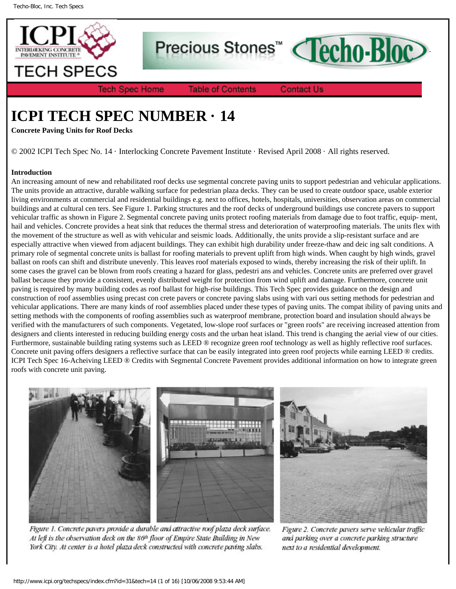



**Tech Spec Home** 

**Table of Contents** 

**Contact Us** 

# **ICPI TECH SPEC NUMBER · 14**

**Concrete Paving Units for Roof Decks**

© 2002 ICPI Tech Spec No. 14 · Interlocking Concrete Pavement Institute · Revised April 2008 · All rights reserved.

## **Introduction**

An increasing amount of new and rehabilitated roof decks use segmental concrete paving units to support pedestrian and vehicular applications. The units provide an attractive, durable walking surface for pedestrian plaza decks. They can be used to create outdoor space, usable exterior living environments at commercial and residential buildings e.g. next to offices, hotels, hospitals, universities, observation areas on commercial buildings and at cultural cen ters. See Figure 1. Parking structures and the roof decks of underground buildings use concrete pavers to support vehicular traffic as shown in Figure 2. Segmental concrete paving units protect roofing materials from damage due to foot traffic, equip- ment, hail and vehicles. Concrete provides a heat sink that reduces the thermal stress and deterioration of waterproofing materials. The units flex with the movement of the structure as well as with vehicular and seismic loads. Additionally, the units provide a slip-resistant surface and are especially attractive when viewed from adjacent buildings. They can exhibit high durability under freeze-thaw and deic ing salt conditions. A primary role of segmental concrete units is ballast for roofing materials to prevent uplift from high winds. When caught by high winds, gravel ballast on roofs can shift and distribute unevenly. This leaves roof materials exposed to winds, thereby increasing the risk of their uplift. In some cases the gravel can be blown from roofs creating a hazard for glass, pedestri ans and vehicles. Concrete units are preferred over gravel ballast because they provide a consistent, evenly distributed weight for protection from wind uplift and damage. Furthermore, concrete unit paving is required by many building codes as roof ballast for high-rise buildings. This Tech Spec provides guidance on the design and construction of roof assemblies using precast con crete pavers or concrete paving slabs using with vari ous setting methods for pedestrian and vehicular applications. There are many kinds of roof assemblies placed under these types of paving units. The compat ibility of paving units and setting methods with the components of roofing assemblies such as waterproof membrane, protection board and insulation should always be verified with the manufacturers of such components. Vegetated, low-slope roof surfaces or "green roofs" are receiving increased attention from designers and clients interested in reducing building energy costs and the urban heat island. This trend is changing the aerial view of our cities. Furthermore, sustainable building rating systems such as LEED ® recognize green roof technology as well as highly reflective roof surfaces. Concrete unit paving offers designers a reflective surface that can be easily integrated into green roof projects while earning LEED ® credits. ICPI Tech Spec 16-Acheiving LEED ® Credits with Segmental Concrete Pavement provides additional information on how to integrate green roofs with concrete unit paving.



Figure 1. Concrete pavers provide a durable and attractive roof plaza deck surface. At left is the observation deck on the 86<sup>th</sup> floor of Empire State Building in New York City. At center is a hotel plaza deck constructed with concrete paving slabs.

Figure 2. Concrete pavers serve vehicular traffic and parking over a concrete parking structure next to a residential development.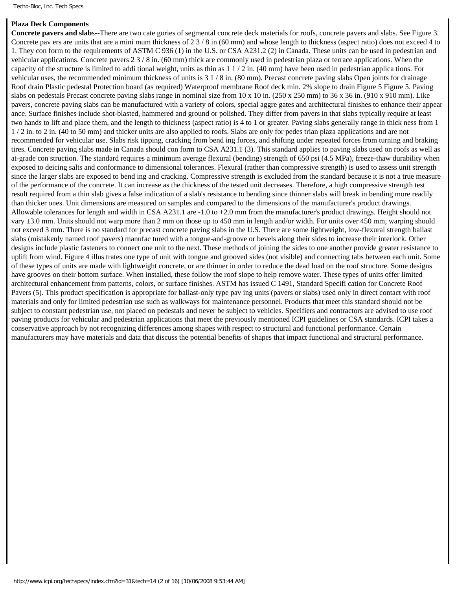## **Plaza Deck Components**

**Concrete pavers and slab**s--There are two cate gories of segmental concrete deck materials for roofs, concrete pavers and slabs. See Figure 3. Concrete pav ers are units that are a mini mum thickness of 2 3 / 8 in (60 mm) and whose length to thickness (aspect ratio) does not exceed 4 to 1. They con form to the requirements of ASTM C 936 (1) in the U.S. or CSA A231.2 (2) in Canada. These units can be used in pedestrian and vehicular applications. Concrete pavers 2 3 / 8 in. (60 mm) thick are commonly used in pedestrian plaza or terrace applications. When the capacity of the structure is limited to addi tional weight, units as thin as  $1/2$  in. (40 mm) have been used in pedestrian applica tions. For vehicular uses, the recommended minimum thickness of units is 3 1 / 8 in. (80 mm). Precast concrete paving slabs Open joints for drainage Roof drain Plastic pedestal Protection board (as required) Waterproof membrane Roof deck min. 2% slope to drain Figure 5 Figure 5. Paving slabs on pedestals Precast concrete paving slabs range in nominal size from 10 x 10 in. (250 x 250 mm) to 36 x 36 in. (910 x 910 mm). Like pavers, concrete paving slabs can be manufactured with a variety of colors, special aggre gates and architectural finishes to enhance their appear ance. Surface finishes include shot-blasted, hammered and ground or polished. They differ from pavers in that slabs typically require at least two hands to lift and place them, and the length to thickness (aspect ratio) is 4 to 1 or greater. Paving slabs generally range in thick ness from 1 1 / 2 in. to 2 in. (40 to 50 mm) and thicker units are also applied to roofs. Slabs are only for pedes trian plaza applications and are not recommended for vehicular use. Slabs risk tipping, cracking from bend ing forces, and shifting under repeated forces from turning and braking tires. Concrete paving slabs made in Canada should con form to CSA A231.1 (3). This standard applies to paving slabs used on roofs as well as at-grade con struction. The standard requires a minimum average flexural (bending) strength of 650 psi (4.5 MPa), freeze-thaw durability when exposed to deicing salts and conformance to dimensional tolerances. Flexural (rather than compressive strength) is used to assess unit strength since the larger slabs are exposed to bend ing and cracking. Compressive strength is excluded from the standard because it is not a true measure of the performance of the concrete. It can increase as the thickness of the tested unit decreases. Therefore, a high compressive strength test result required from a thin slab gives a false indication of a slab's resistance to bending since thinner slabs will break in bending more readily than thicker ones. Unit dimensions are measured on samples and compared to the dimensions of the manufacturer's product drawings. Allowable tolerances for length and width in CSA A231.1 are -1.0 to +2.0 mm from the manufacturer's product drawings. Height should not vary ±3.0 mm. Units should not warp more than 2 mm on those up to 450 mm in length and/or width. For units over 450 mm, warping should not exceed 3 mm. There is no standard for precast concrete paving slabs in the U.S. There are some lightweight, low-flexural strength ballast slabs (mistakenly named roof pavers) manufac tured with a tongue-and-groove or bevels along their sides to increase their interlock. Other designs include plastic fasteners to connect one unit to the next. These methods of joining the sides to one another provide greater resistance to uplift from wind. Figure 4 illus trates one type of unit with tongue and grooved sides (not visible) and connecting tabs between each unit. Some of these types of units are made with lightweight concrete, or are thinner in order to reduce the dead load on the roof structure. Some designs have grooves on their bottom surface. When installed, these follow the roof slope to help remove water. These types of units offer limited architectural enhancement from patterns, colors, or surface finishes. ASTM has issued C 1491, Standard Specifi cation for Concrete Roof Pavers (5). This product specification is appropriate for ballast-only type pav ing units (pavers or slabs) used only in direct contact with roof materials and only for limited pedestrian use such as walkways for maintenance personnel. Products that meet this standard should not be subject to constant pedestrian use, not placed on pedestals and never be subject to vehicles. Specifiers and contractors are advised to use roof paving products for vehicular and pedestrian applications that meet the previously mentioned ICPI guidelines or CSA standards. ICPI takes a conservative approach by not recognizing differences among shapes with respect to structural and functional performance. Certain manufacturers may have materials and data that discuss the potential benefits of shapes that impact functional and structural performance.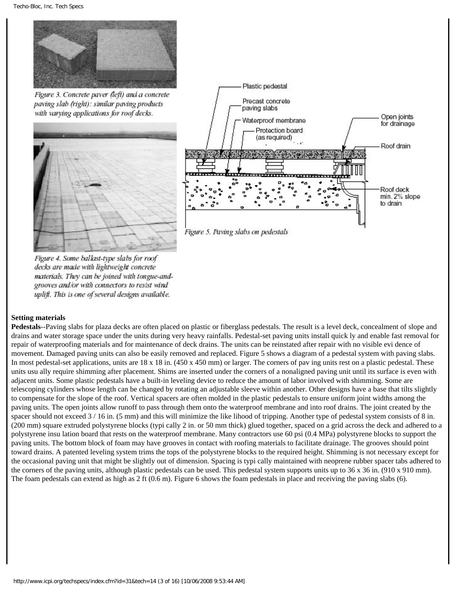

Figure 3. Concrete paver (left) and a concrete paving slab (right): similar paving products with varying applications for roof decks.





Figure 4. Some ballast-type slabs for roof decks are made with lightweight concrete materials. They can be joined with tongue-andgrooves and/or with connectors to resist wind uplift. This is one of several designs available.

## **Setting materials**

**Pedestals**--Paving slabs for plaza decks are often placed on plastic or fiberglass pedestals. The result is a level deck, concealment of slope and drains and water storage space under the units during very heavy rainfalls. Pedestal-set paving units install quick ly and enable fast removal for repair of waterproofing materials and for maintenance of deck drains. The units can be reinstated after repair with no visible evi dence of movement. Damaged paving units can also be easily removed and replaced. Figure 5 shows a diagram of a pedestal system with paving slabs. In most pedestal-set applications, units are 18 x 18 in. (450 x 450 mm) or larger. The corners of pav ing units rest on a plastic pedestal. These units usu ally require shimming after placement. Shims are inserted under the corners of a nonaligned paving unit until its surface is even with adjacent units. Some plastic pedestals have a built-in leveling device to reduce the amount of labor involved with shimming. Some are telescoping cylinders whose length can be changed by rotating an adjustable sleeve within another. Other designs have a base that tilts slightly to compensate for the slope of the roof. Vertical spacers are often molded in the plastic pedestals to ensure uniform joint widths among the paving units. The open joints allow runoff to pass through them onto the waterproof membrane and into roof drains. The joint created by the spacer should not exceed  $3/16$  in. (5 mm) and this will minimize the like lihood of tripping. Another type of pedestal system consists of 8 in. (200 mm) square extruded polystyrene blocks (typi cally 2 in. or 50 mm thick) glued together, spaced on a grid across the deck and adhered to a polystyrene insu lation board that rests on the waterproof membrane. Many contractors use 60 psi (0.4 MPa) polystyrene blocks to support the paving units. The bottom block of foam may have grooves in contact with roofing materials to facilitate drainage. The grooves should point toward drains. A patented leveling system trims the tops of the polystyrene blocks to the required height. Shimming is not necessary except for the occasional paving unit that might be slightly out of dimension. Spacing is typi cally maintained with neoprene rubber spacer tabs adhered to the corners of the paving units, although plastic pedestals can be used. This pedestal system supports units up to 36 x 36 in. (910 x 910 mm). The foam pedestals can extend as high as 2 ft (0.6 m). Figure 6 shows the foam pedestals in place and receiving the paving slabs (6).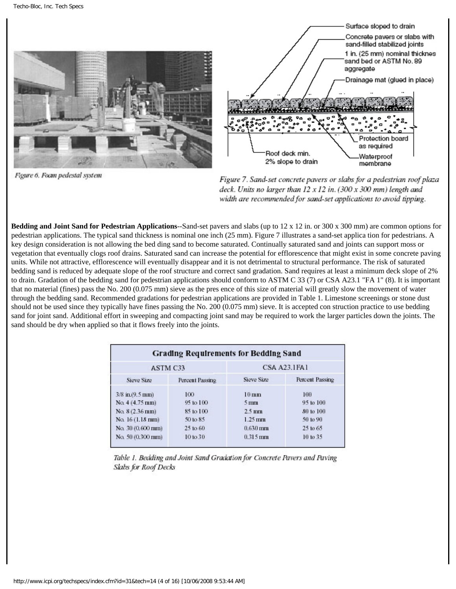

Figure 6. Focun pedestal system



Figure 7. Sand-set concrete pavers or slabs for a pedestrian roof plaza deck. Units no larger than 12 x 12 in. (300 x 300 mm) length and width are recommended for sand-set applications to avoid tipping.

**Bedding and Joint Sand for Pedestrian Applications--Sand-set pavers and slabs (up to 12 x 12 in. or 300 x 300 mm) are common options for** pedestrian applications. The typical sand thickness is nominal one inch (25 mm). Figure 7 illustrates a sand-set applica tion for pedestrians. A key design consideration is not allowing the bed ding sand to become saturated. Continually saturated sand and joints can support moss or vegetation that eventually clogs roof drains. Saturated sand can increase the potential for efflorescence that might exist in some concrete paving units. While not attractive, efflorescence will eventually disappear and it is not detrimental to structural performance. The risk of saturated bedding sand is reduced by adequate slope of the roof structure and correct sand gradation. Sand requires at least a minimum deck slope of 2% to drain. Gradation of the bedding sand for pedestrian applications should conform to ASTM C 33 (7) or CSA A23.1 "FA 1" (8). It is important that no material (fines) pass the No. 200 (0.075 mm) sieve as the pres ence of this size of material will greatly slow the movement of water through the bedding sand. Recommended gradations for pedestrian applications are provided in Table 1. Limestone screenings or stone dust should not be used since they typically have fines passing the No. 200 (0.075 mm) sieve. It is accepted con struction practice to use bedding sand for joint sand. Additional effort in sweeping and compacting joint sand may be required to work the larger particles down the joints. The sand should be dry when applied so that it flows freely into the joints.

| <b>Grading Requirements for Bedding Sand</b> |                 |                      |                 |  |
|----------------------------------------------|-----------------|----------------------|-----------------|--|
| ASTM C33                                     |                 | <b>CSA A23.1FA1</b>  |                 |  |
| Sieve Size                                   | Percent Passing | Sieve Size           | Percent Passing |  |
| 3/8 in.(9.5 mm)                              | 100             | $10 \text{ mm}$      | 100             |  |
| $No. 4(4.75 \text{ mm})$                     | 95 to 100       | $5 \,\mathrm{mm}$    | 95 to 100       |  |
| No. 8 (2.36 mm)                              | 85 to 100       | $2.5 \text{ mm}$     | 80 to 100       |  |
| No. 16 (1.18 mm)                             | 50 to 85        | $1.25 \,\mathrm{mm}$ | 50 to 90        |  |
| No. 30 (0.600 mm)                            | $25$ to $60$    | $0.630$ mm           | 25 to 65        |  |
| No. 50 (0.300 mm)                            | 10 to 30        | $0.315$ mm           | 10 to 35        |  |

Table 1. Bedding and Joint Sand Gradation for Concrete Pavers and Paving Slabs for Roof Decks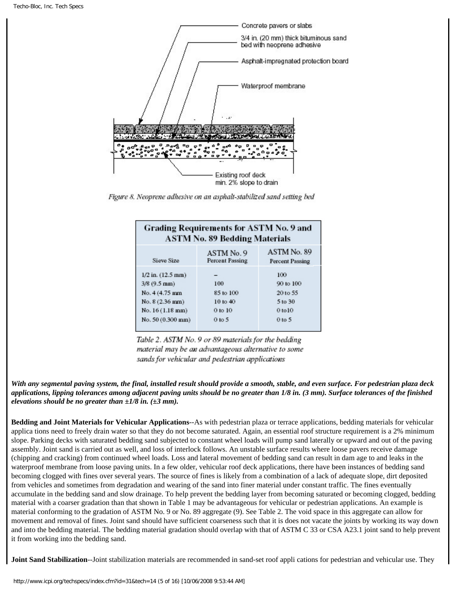

Figure 8. Neoprene adhesive on an asphalt-stabilized sand setting bed

| <b>Grading Requirements for ASTM No. 9 and</b><br><b>ASTM No. 89 Bedding Materials</b>                                    |                                                       |                                                              |  |  |
|---------------------------------------------------------------------------------------------------------------------------|-------------------------------------------------------|--------------------------------------------------------------|--|--|
| Sieve Size                                                                                                                | ASTM No. 9<br><b>Percent Passing</b>                  | ASTM No. 89<br>Percent Passing                               |  |  |
| $1/2$ in. $(12.5$ mm $)$<br>$3/8$ (9.5 mm)<br>No. 4 (4.75 mm)<br>No. 8 (2.36 mm)<br>No. 16 (1.18 mm)<br>No. 50 (0.300 mm) | 100<br>85 to 100<br>10 to 40<br>$0$ to $10$<br>0 to 5 | 100<br>90 to 100<br>20 to 55<br>5 to 30<br>0 to 10<br>0 to 5 |  |  |

Table 2. ASTM No. 9 or 89 materials for the bedding material may be an advantageous alternative to some sands for vehicular and pedestrian applications

*With any segmental paving system, the final, installed result should provide a smooth, stable, and even surface. For pedestrian plaza deck applications, lipping tolerances among adjacent paving units should be no greater than 1/8 in. (3 mm). Surface tolerances of the finished elevations should be no greater than ±1/8 in. (±3 mm).*

**Bedding and Joint Materials for Vehicular Applications**--As with pedestrian plaza or terrace applications, bedding materials for vehicular applica tions need to freely drain water so that they do not become saturated. Again, an essential roof structure requirement is a 2% minimum slope. Parking decks with saturated bedding sand subjected to constant wheel loads will pump sand laterally or upward and out of the paving assembly. Joint sand is carried out as well, and loss of interlock follows. An unstable surface results where loose pavers receive damage (chipping and cracking) from continued wheel loads. Loss and lateral movement of bedding sand can result in dam age to and leaks in the waterproof membrane from loose paving units. In a few older, vehicular roof deck applications, there have been instances of bedding sand becoming clogged with fines over several years. The source of fines is likely from a combination of a lack of adequate slope, dirt deposited from vehicles and sometimes from degradation and wearing of the sand into finer material under constant traffic. The fines eventually accumulate in the bedding sand and slow drainage. To help prevent the bedding layer from becoming saturated or becoming clogged, bedding material with a coarser gradation than that shown in Table 1 may be advantageous for vehicular or pedestrian applications. An example is material conforming to the gradation of ASTM No. 9 or No. 89 aggregate (9). See Table 2. The void space in this aggregate can allow for movement and removal of fines. Joint sand should have sufficient coarseness such that it is does not vacate the joints by working its way down and into the bedding material. The bedding material gradation should overlap with that of ASTM C 33 or CSA A23.1 joint sand to help prevent it from working into the bedding sand.

**Joint Sand Stabilization**--Joint stabilization materials are recommended in sand-set roof appli cations for pedestrian and vehicular use. They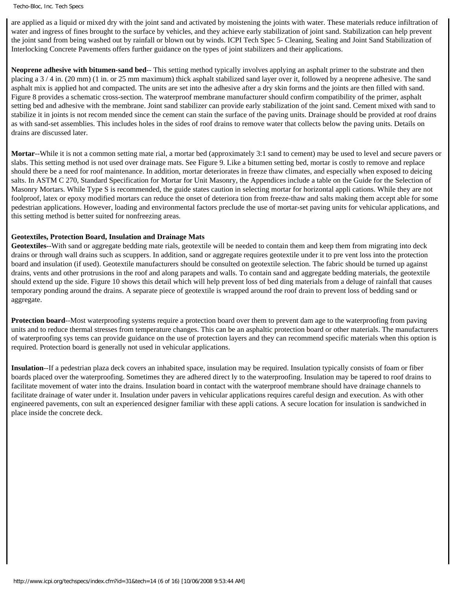are applied as a liquid or mixed dry with the joint sand and activated by moistening the joints with water. These materials reduce infiltration of water and ingress of fines brought to the surface by vehicles, and they achieve early stabilization of joint sand. Stabilization can help prevent the joint sand from being washed out by rainfall or blown out by winds. ICPI Tech Spec 5- Cleaning, Sealing and Joint Sand Stabilization of Interlocking Concrete Pavements offers further guidance on the types of joint stabilizers and their applications.

**Neoprene adhesive with bitumen-sand bed**-- This setting method typically involves applying an asphalt primer to the substrate and then placing a 3 / 4 in. (20 mm) (1 in. or 25 mm maximum) thick asphalt stabilized sand layer over it, followed by a neoprene adhesive. The sand asphalt mix is applied hot and compacted. The units are set into the adhesive after a dry skin forms and the joints are then filled with sand. Figure 8 provides a schematic cross-section. The waterproof membrane manufacturer should confirm compatibility of the primer, asphalt setting bed and adhesive with the membrane. Joint sand stabilizer can provide early stabilization of the joint sand. Cement mixed with sand to stabilize it in joints is not recom mended since the cement can stain the surface of the paving units. Drainage should be provided at roof drains as with sand-set assemblies. This includes holes in the sides of roof drains to remove water that collects below the paving units. Details on drains are discussed later.

**Mortar**--While it is not a common setting mate rial, a mortar bed (approximately 3:1 sand to cement) may be used to level and secure pavers or slabs. This setting method is not used over drainage mats. See Figure 9. Like a bitumen setting bed, mortar is costly to remove and replace should there be a need for roof maintenance. In addition, mortar deteriorates in freeze thaw climates, and especially when exposed to deicing salts. In ASTM C 270, Standard Specification for Mortar for Unit Masonry, the Appendices include a table on the Guide for the Selection of Masonry Mortars. While Type S is recommended, the guide states caution in selecting mortar for horizontal appli cations. While they are not foolproof, latex or epoxy modified mortars can reduce the onset of deteriora tion from freeze-thaw and salts making them accept able for some pedestrian applications. However, loading and environmental factors preclude the use of mortar-set paving units for vehicular applications, and this setting method is better suited for nonfreezing areas.

## **Geotextiles, Protection Board, Insulation and Drainage Mats**

**Geotextiles**--With sand or aggregate bedding mate rials, geotextile will be needed to contain them and keep them from migrating into deck drains or through wall drains such as scuppers. In addition, sand or aggregate requires geotextile under it to pre vent loss into the protection board and insulation (if used). Geotextile manufacturers should be consulted on geotextile selection. The fabric should be turned up against drains, vents and other protrusions in the roof and along parapets and walls. To contain sand and aggregate bedding materials, the geotextile should extend up the side. Figure 10 shows this detail which will help prevent loss of bed ding materials from a deluge of rainfall that causes temporary ponding around the drains. A separate piece of geotextile is wrapped around the roof drain to prevent loss of bedding sand or aggregate.

**Protection board**--Most waterproofing systems require a protection board over them to prevent dam age to the waterproofing from paving units and to reduce thermal stresses from temperature changes. This can be an asphaltic protection board or other materials. The manufacturers of waterproofing sys tems can provide guidance on the use of protection layers and they can recommend specific materials when this option is required. Protection board is generally not used in vehicular applications.

**Insulation**--If a pedestrian plaza deck covers an inhabited space, insulation may be required. Insulation typically consists of foam or fiber boards placed over the waterproofing. Sometimes they are adhered direct ly to the waterproofing. Insulation may be tapered to roof drains to facilitate movement of water into the drains. Insulation board in contact with the waterproof membrane should have drainage channels to facilitate drainage of water under it. Insulation under pavers in vehicular applications requires careful design and execution. As with other engineered pavements, con sult an experienced designer familiar with these appli cations. A secure location for insulation is sandwiched in place inside the concrete deck.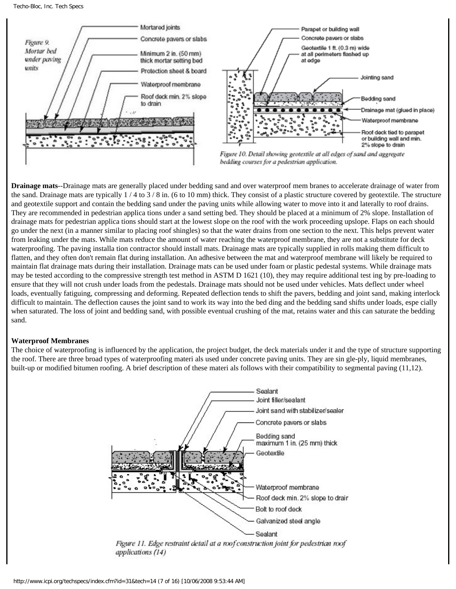

**Drainage mats**--Drainage mats are generally placed under bedding sand and over waterproof mem branes to accelerate drainage of water from the sand. Drainage mats are typically  $1/4$  to  $3/8$  in. (6 to 10 mm) thick. They consist of a plastic structure covered by geotextile. The structure and geotextile support and contain the bedding sand under the paving units while allowing water to move into it and laterally to roof drains. They are recommended in pedestrian applica tions under a sand setting bed. They should be placed at a minimum of 2% slope. Installation of drainage mats for pedestrian applica tions should start at the lowest slope on the roof with the work proceeding upslope. Flaps on each should go under the next (in a manner similar to placing roof shingles) so that the water drains from one section to the next. This helps prevent water from leaking under the mats. While mats reduce the amount of water reaching the waterproof membrane, they are not a substitute for deck waterproofing. The paving installa tion contractor should install mats. Drainage mats are typically supplied in rolls making them difficult to flatten, and they often don't remain flat during installation. An adhesive between the mat and waterproof membrane will likely be required to maintain flat drainage mats during their installation. Drainage mats can be used under foam or plastic pedestal systems. While drainage mats may be tested according to the compressive strength test method in ASTM D 1621 (10), they may require additional test ing by pre-loading to ensure that they will not crush under loads from the pedestals. Drainage mats should not be used under vehicles. Mats deflect under wheel loads, eventually fatiguing, compressing and deforming. Repeated deflection tends to shift the pavers, bedding and joint sand, making interlock difficult to maintain. The deflection causes the joint sand to work its way into the bed ding and the bedding sand shifts under loads, espe cially when saturated. The loss of joint and bedding sand, with possible eventual crushing of the mat, retains water and this can saturate the bedding sand.

### **Waterproof Membranes**

The choice of waterproofing is influenced by the application, the project budget, the deck materials under it and the type of structure supporting the roof. There are three broad types of waterproofing materi als used under concrete paving units. They are sin gle-ply, liquid membranes, built-up or modified bitumen roofing. A brief description of these materi als follows with their compatibility to segmental paving (11,12).

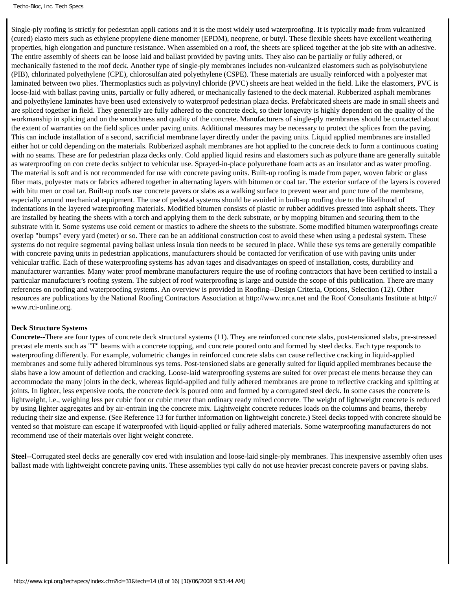Single-ply roofing is strictly for pedestrian appli cations and it is the most widely used waterproofing. It is typically made from vulcanized (cured) elasto mers such as ethylene propylene diene monomer (EPDM), neoprene, or butyl. These flexible sheets have excellent weathering properties, high elongation and puncture resistance. When assembled on a roof, the sheets are spliced together at the job site with an adhesive. The entire assembly of sheets can be loose laid and ballast provided by paving units. They also can be partially or fully adhered, or mechanically fastened to the roof deck. Another type of single-ply membranes includes non-vulcanized elastomers such as polyisobutylene (PIB), chlorinated polyethylene (CPE), chlorosulfan ated polyethylene (CSPE). These materials are usually reinforced with a polyester mat laminated between two plies. Thermoplastics such as polyvinyl chloride (PVC) sheets are heat welded in the field. Like the elastomers, PVC is loose-laid with ballast paving units, partially or fully adhered, or mechanically fastened to the deck material. Rubberized asphalt membranes and polyethylene laminates have been used extensively to waterproof pedestrian plaza decks. Prefabricated sheets are made in small sheets and are spliced together in field. They generally are fully adhered to the concrete deck, so their longevity is highly dependent on the quality of the workmanship in splicing and on the smoothness and quality of the concrete. Manufacturers of single-ply membranes should be contacted about the extent of warranties on the field splices under paving units. Additional measures may be necessary to protect the splices from the paving. This can include installation of a second, sacrificial membrane layer directly under the paving units. Liquid applied membranes are installed either hot or cold depending on the materials. Rubberized asphalt membranes are hot applied to the concrete deck to form a continuous coating with no seams. These are for pedestrian plaza decks only. Cold applied liquid resins and elastomers such as polyure thane are generally suitable as waterproofing on con crete decks subject to vehicular use. Sprayed-in-place polyurethane foam acts as an insulator and as water proofing. The material is soft and is not recommended for use with concrete paving units. Built-up roofing is made from paper, woven fabric or glass fiber mats, polyester mats or fabrics adhered together in alternating layers with bitumen or coal tar. The exterior surface of the layers is covered with bitu men or coal tar. Built-up roofs use concrete pavers or slabs as a walking surface to prevent wear and punc ture of the membrane, especially around mechanical equipment. The use of pedestal systems should be avoided in built-up roofing due to the likelihood of indentations in the layered waterproofing materials. Modified bitumen consists of plastic or rubber additives pressed into asphalt sheets. They are installed by heating the sheets with a torch and applying them to the deck substrate, or by mopping bitumen and securing them to the substrate with it. Some systems use cold cement or mastics to adhere the sheets to the substrate. Some modified bitumen waterproofings create overlap "bumps" every yard (meter) or so. There can be an additional construction cost to avoid these when using a pedestal system. These systems do not require segmental paving ballast unless insula tion needs to be secured in place. While these sys tems are generally compatible with concrete paving units in pedestrian applications, manufacturers should be contacted for verification of use with paving units under vehicular traffic. Each of these waterproofing systems has advan tages and disadvantages on speed of installation, costs, durability and manufacturer warranties. Many water proof membrane manufacturers require the use of roofing contractors that have been certified to install a particular manufacturer's roofing system. The subject of roof waterproofing is large and outside the scope of this publication. There are many references on roofing and waterproofing systems. An overview is provided in Roofing--Design Criteria, Options, Selection (12). Other resources are publications by the National Roofing Contractors Association at http://www.nrca.net and the Roof Consultants Institute at http:// www.rci-online.org.

#### **Deck Structure Systems**

**Concrete**--There are four types of concrete deck structural systems (11). They are reinforced concrete slabs, post-tensioned slabs, pre-stressed precast ele ments such as "T" beams with a concrete topping, and concrete poured onto and formed by steel decks. Each type responds to waterproofing differently. For example, volumetric changes in reinforced concrete slabs can cause reflective cracking in liquid-applied membranes and some fully adhered bituminous sys tems. Post-tensioned slabs are generally suited for liquid applied membranes because the slabs have a low amount of deflection and cracking. Loose-laid waterproofing systems are suited for over precast ele ments because they can accommodate the many joints in the deck, whereas liquid-applied and fully adhered membranes are prone to reflective cracking and splitting at joints. In lighter, less expensive roofs, the concrete deck is poured onto and formed by a corrugated steel deck. In some cases the concrete is lightweight, i.e., weighing less per cubic foot or cubic meter than ordinary ready mixed concrete. The weight of lightweight concrete is reduced by using lighter aggregates and by air-entrain ing the concrete mix. Lightweight concrete reduces loads on the columns and beams, thereby reducing their size and expense. (See Reference 13 for further information on lightweight concrete.) Steel decks topped with concrete should be vented so that moisture can escape if waterproofed with liquid-applied or fully adhered materials. Some waterproofing manufacturers do not recommend use of their materials over light weight concrete.

**Steel**--Corrugated steel decks are generally cov ered with insulation and loose-laid single-ply membranes. This inexpensive assembly often uses ballast made with lightweight concrete paving units. These assemblies typi cally do not use heavier precast concrete pavers or paving slabs.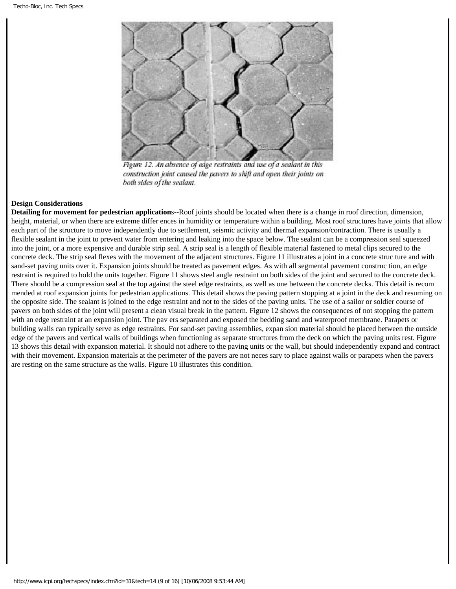

Figure 12. An absence of edge restraints and use of a sealant in this construction joint caused the pavers to shift and open their joints on both sides of the sealant.

## **Design Considerations**

**Detailing for movement for pedestrian application**s--Roof joints should be located when there is a change in roof direction, dimension, height, material, or when there are extreme differ ences in humidity or temperature within a building. Most roof structures have joints that allow each part of the structure to move independently due to settlement, seismic activity and thermal expansion/contraction. There is usually a flexible sealant in the joint to prevent water from entering and leaking into the space below. The sealant can be a compression seal squeezed into the joint, or a more expensive and durable strip seal. A strip seal is a length of flexible material fastened to metal clips secured to the concrete deck. The strip seal flexes with the movement of the adjacent structures. Figure 11 illustrates a joint in a concrete struc ture and with sand-set paving units over it. Expansion joints should be treated as pavement edges. As with all segmental pavement construc tion, an edge restraint is required to hold the units together. Figure 11 shows steel angle restraint on both sides of the joint and secured to the concrete deck. There should be a compression seal at the top against the steel edge restraints, as well as one between the concrete decks. This detail is recom mended at roof expansion joints for pedestrian applications. This detail shows the paving pattern stopping at a joint in the deck and resuming on the opposite side. The sealant is joined to the edge restraint and not to the sides of the paving units. The use of a sailor or soldier course of pavers on both sides of the joint will present a clean visual break in the pattern. Figure 12 shows the consequences of not stopping the pattern with an edge restraint at an expansion joint. The pav ers separated and exposed the bedding sand and waterproof membrane. Parapets or building walls can typically serve as edge restraints. For sand-set paving assemblies, expan sion material should be placed between the outside edge of the pavers and vertical walls of buildings when functioning as separate structures from the deck on which the paving units rest. Figure 13 shows this detail with expansion material. It should not adhere to the paving units or the wall, but should independently expand and contract with their movement. Expansion materials at the perimeter of the pavers are not neces sary to place against walls or parapets when the pavers are resting on the same structure as the walls. Figure 10 illustrates this condition.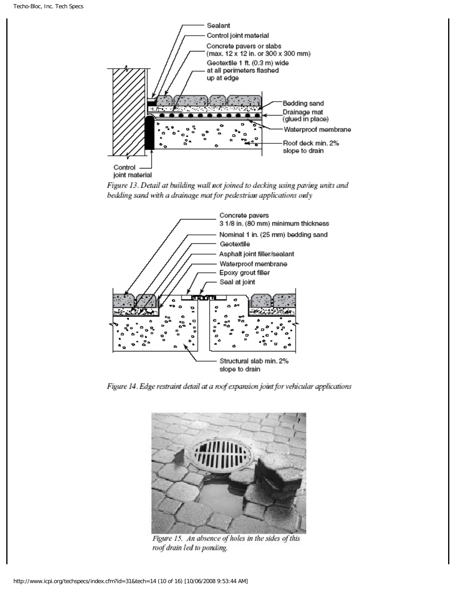





Figure 14. Edge restraint detail at a roof expansion joint for vehicular applications



Figure 15. An absence of holes in the sides of this roof drain led to ponding.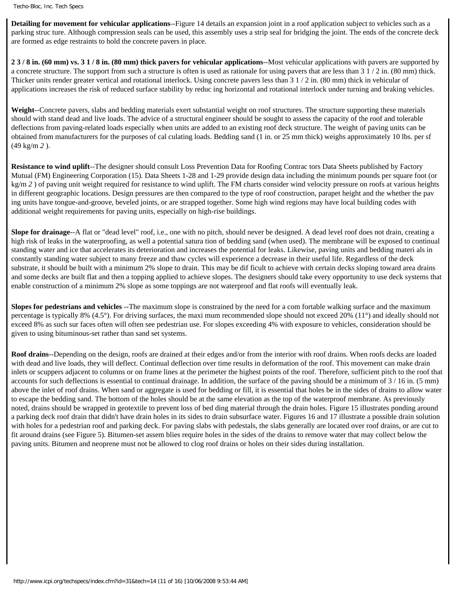**Detailing for movement for vehicular applications**--Figure 14 details an expansion joint in a roof application subject to vehicles such as a parking struc ture. Although compression seals can be used, this assembly uses a strip seal for bridging the joint. The ends of the concrete deck are formed as edge restraints to hold the concrete pavers in place.

**2 3 / 8 in. (60 mm) vs. 3 1 / 8 in. (80 mm) thick pavers for vehicular applications**--Most vehicular applications with pavers are supported by a concrete structure. The support from such a structure is often is used as rationale for using pavers that are less than 3 1 / 2 in. (80 mm) thick. Thicker units render greater vertical and rotational interlock. Using concrete pavers less than 3 1 / 2 in. (80 mm) thick in vehicular of applications increases the risk of reduced surface stability by reduc ing horizontal and rotational interlock under turning and braking vehicles.

**Weight**--Concrete pavers, slabs and bedding materials exert substantial weight on roof structures. The structure supporting these materials should with stand dead and live loads. The advice of a structural engineer should be sought to assess the capacity of the roof and tolerable deflections from paving-related loads especially when units are added to an existing roof deck structure. The weight of paving units can be obtained from manufacturers for the purposes of cal culating loads. Bedding sand (1 in. or 25 mm thick) weighs approximately 10 lbs. per sf (49 kg/m *2* ).

**Resistance to wind uplift**--The designer should consult Loss Prevention Data for Roofing Contrac tors Data Sheets published by Factory Mutual (FM) Engineering Corporation (15). Data Sheets 1-28 and 1-29 provide design data including the minimum pounds per square foot (or kg/m 2) of paving unit weight required for resistance to wind uplift. The FM charts consider wind velocity pressure on roofs at various heights in different geographic locations. Design pressures are then compared to the type of roof construction, parapet height and the whether the pav ing units have tongue-and-groove, beveled joints, or are strapped together. Some high wind regions may have local building codes with additional weight requirements for paving units, especially on high-rise buildings.

**Slope for drainage**--A flat or "dead level" roof, i.e., one with no pitch, should never be designed. A dead level roof does not drain, creating a high risk of leaks in the waterproofing, as well a potential satura tion of bedding sand (when used). The membrane will be exposed to continual standing water and ice that accelerates its deterioration and increases the potential for leaks. Likewise, paving units and bedding materi als in constantly standing water subject to many freeze and thaw cycles will experience a decrease in their useful life. Regardless of the deck substrate, it should be built with a minimum 2% slope to drain. This may be dif ficult to achieve with certain decks sloping toward area drains and some decks are built flat and then a topping applied to achieve slopes. The designers should take every opportunity to use deck systems that enable construction of a minimum 2% slope as some toppings are not waterproof and flat roofs will eventually leak.

**Slopes for pedestrians and vehicles** --The maximum slope is constrained by the need for a com fortable walking surface and the maximum percentage is typically 8% (4.5°). For driving surfaces, the maxi mum recommended slope should not exceed 20% (11°) and ideally should not exceed 8% as such sur faces often will often see pedestrian use. For slopes exceeding 4% with exposure to vehicles, consideration should be given to using bituminous-set rather than sand set systems.

**Roof drains**--Depending on the design, roofs are drained at their edges and/or from the interior with roof drains. When roofs decks are loaded with dead and live loads, they will deflect. Continual deflection over time results in deformation of the roof. This movement can make drain inlets or scuppers adjacent to columns or on frame lines at the perimeter the highest points of the roof. Therefore, sufficient pitch to the roof that accounts for such deflections is essential to continual drainage. In addition, the surface of the paving should be a minimum of  $3/16$  in. (5 mm) above the inlet of roof drains. When sand or aggregate is used for bedding or fill, it is essential that holes be in the sides of drains to allow water to escape the bedding sand. The bottom of the holes should be at the same elevation as the top of the waterproof membrane. As previously noted, drains should be wrapped in geotextile to prevent loss of bed ding material through the drain holes. Figure 15 illustrates ponding around a parking deck roof drain that didn't have drain holes in its sides to drain subsurface water. Figures 16 and 17 illustrate a possible drain solution with holes for a pedestrian roof and parking deck. For paving slabs with pedestals, the slabs generally are located over roof drains, or are cut to fit around drains (see Figure 5). Bitumen-set assem blies require holes in the sides of the drains to remove water that may collect below the paving units. Bitumen and neoprene must not be allowed to clog roof drains or holes on their sides during installation.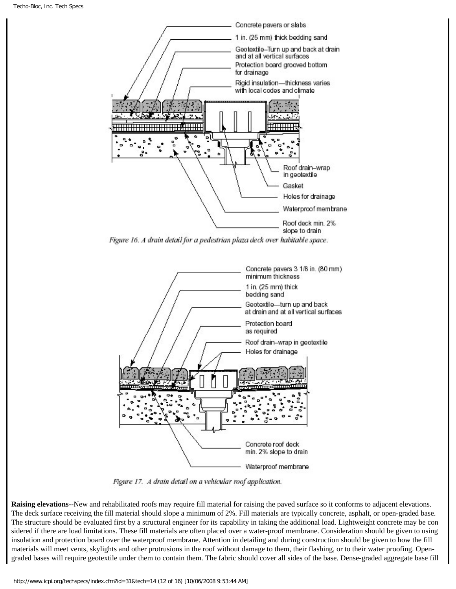

Figure 16. A drain detail for a pedestrian plaza deck over habitable space.



Figure 17. A drain detail on a vehicular roof application.

**Raising elevations**--New and rehabilitated roofs may require fill material for raising the paved surface so it conforms to adjacent elevations. The deck surface receiving the fill material should slope a minimum of 2%. Fill materials are typically concrete, asphalt, or open-graded base. The structure should be evaluated first by a structural engineer for its capability in taking the additional load. Lightweight concrete may be con sidered if there are load limitations. These fill materials are often placed over a water-proof membrane. Consideration should be given to using insulation and protection board over the waterproof membrane. Attention in detailing and during construction should be given to how the fill materials will meet vents, skylights and other protrusions in the roof without damage to them, their flashing, or to their water proofing. Opengraded bases will require geotextile under them to contain them. The fabric should cover all sides of the base. Dense-graded aggregate base fill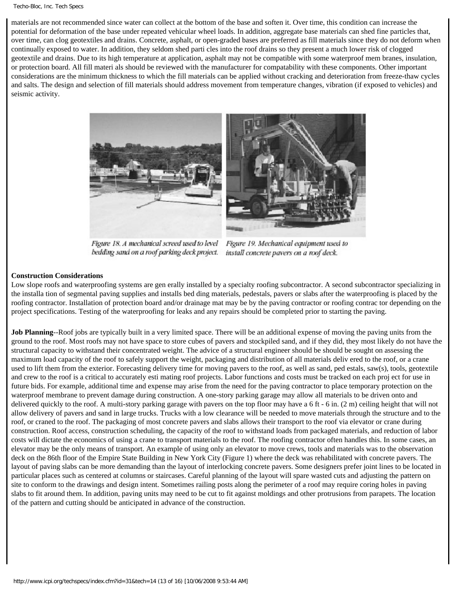materials are not recommended since water can collect at the bottom of the base and soften it. Over time, this condition can increase the potential for deformation of the base under repeated vehicular wheel loads. In addition, aggregate base materials can shed fine particles that, over time, can clog geotextiles and drains. Concrete, asphalt, or open-graded bases are preferred as fill materials since they do not deform when continually exposed to water. In addition, they seldom shed parti cles into the roof drains so they present a much lower risk of clogged geotextile and drains. Due to its high temperature at application, asphalt may not be compatible with some waterproof mem branes, insulation, or protection board. All fill materi als should be reviewed with the manufacturer for compatability with these components. Other important considerations are the minimum thickness to which the fill materials can be applied without cracking and deterioration from freeze-thaw cycles and salts. The design and selection of fill materials should address movement from temperature changes, vibration (if exposed to vehicles) and seismic activity.



Figure 18. A mechanical screed used to level bedding sand on a roof parking deck project.

Figure 19. Mechanical equipment used to install concrete pavers on a roof deck.

## **Construction Considerations**

Low slope roofs and waterproofing systems are gen erally installed by a specialty roofing subcontractor. A second subcontractor specializing in the installa tion of segmental paving supplies and installs bed ding materials, pedestals, pavers or slabs after the waterproofing is placed by the roofing contractor. Installation of protection board and/or drainage mat may be by the paving contractor or roofing contrac tor depending on the project specifications. Testing of the waterproofing for leaks and any repairs should be completed prior to starting the paving.

**Job Planning**--Roof jobs are typically built in a very limited space. There will be an additional expense of moving the paving units from the ground to the roof. Most roofs may not have space to store cubes of pavers and stockpiled sand, and if they did, they most likely do not have the structural capacity to withstand their concentrated weight. The advice of a structural engineer should be should be sought on assessing the maximum load capacity of the roof to safely support the weight, packaging and distribution of all materials deliv ered to the roof, or a crane used to lift them from the exterior. Forecasting delivery time for moving pavers to the roof, as well as sand, ped estals, saw(s), tools, geotextile and crew to the roof is a critical to accurately esti mating roof projects. Labor functions and costs must be tracked on each proj ect for use in future bids. For example, additional time and expense may arise from the need for the paving contractor to place temporary protection on the waterproof membrane to prevent damage during construction. A one-story parking garage may allow all materials to be driven onto and delivered quickly to the roof. A multi-story parking garage with pavers on the top floor may have a 6 ft - 6 in. (2 m) ceiling height that will not allow delivery of pavers and sand in large trucks. Trucks with a low clearance will be needed to move materials through the structure and to the roof, or craned to the roof. The packaging of most concrete pavers and slabs allows their transport to the roof via elevator or crane during construction. Roof access, construction scheduling, the capacity of the roof to withstand loads from packaged materials, and reduction of labor costs will dictate the economics of using a crane to transport materials to the roof. The roofing contractor often handles this. In some cases, an elevator may be the only means of transport. An example of using only an elevator to move crews, tools and materials was to the observation deck on the 86th floor of the Empire State Building in New York City (Figure 1) where the deck was rehabilitated with concrete pavers. The layout of paving slabs can be more demanding than the layout of interlocking concrete pavers. Some designers prefer joint lines to be located in particular places such as centered at columns or staircases. Careful planning of the layout will spare wasted cuts and adjusting the pattern on site to conform to the drawings and design intent. Sometimes railing posts along the perimeter of a roof may require coring holes in paving slabs to fit around them. In addition, paving units may need to be cut to fit against moldings and other protrusions from parapets. The location of the pattern and cutting should be anticipated in advance of the construction.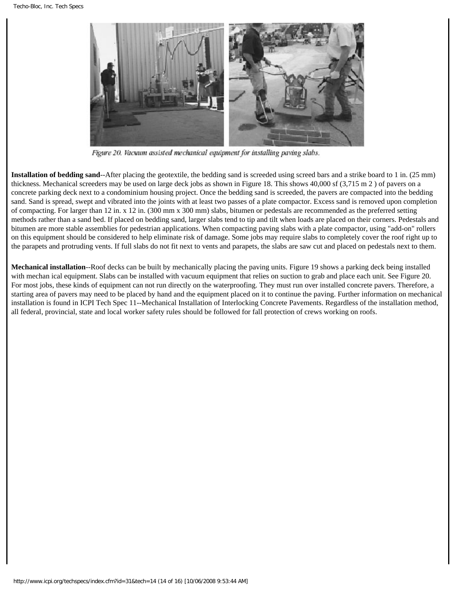

Figure 20. Vacuum assisted mechanical equipment for installing paving slabs.

**Installation of bedding sand**--After placing the geotextile, the bedding sand is screeded using screed bars and a strike board to 1 in. (25 mm) thickness. Mechanical screeders may be used on large deck jobs as shown in Figure 18. This shows 40,000 sf (3,715 m 2 ) of pavers on a concrete parking deck next to a condominium housing project. Once the bedding sand is screeded, the pavers are compacted into the bedding sand. Sand is spread, swept and vibrated into the joints with at least two passes of a plate compactor. Excess sand is removed upon completion of compacting. For larger than 12 in. x 12 in. (300 mm x 300 mm) slabs, bitumen or pedestals are recommended as the preferred setting methods rather than a sand bed. If placed on bedding sand, larger slabs tend to tip and tilt when loads are placed on their corners. Pedestals and bitumen are more stable assemblies for pedestrian applications. When compacting paving slabs with a plate compactor, using "add-on" rollers on this equipment should be considered to help eliminate risk of damage. Some jobs may require slabs to completely cover the roof right up to the parapets and protruding vents. If full slabs do not fit next to vents and parapets, the slabs are saw cut and placed on pedestals next to them.

**Mechanical installation**--Roof decks can be built by mechanically placing the paving units. Figure 19 shows a parking deck being installed with mechan ical equipment. Slabs can be installed with vacuum equipment that relies on suction to grab and place each unit. See Figure 20. For most jobs, these kinds of equipment can not run directly on the waterproofing. They must run over installed concrete pavers. Therefore, a starting area of pavers may need to be placed by hand and the equipment placed on it to continue the paving. Further information on mechanical installation is found in ICPI Tech Spec 11--Mechanical Installation of Interlocking Concrete Pavements. Regardless of the installation method, all federal, provincial, state and local worker safety rules should be followed for fall protection of crews working on roofs.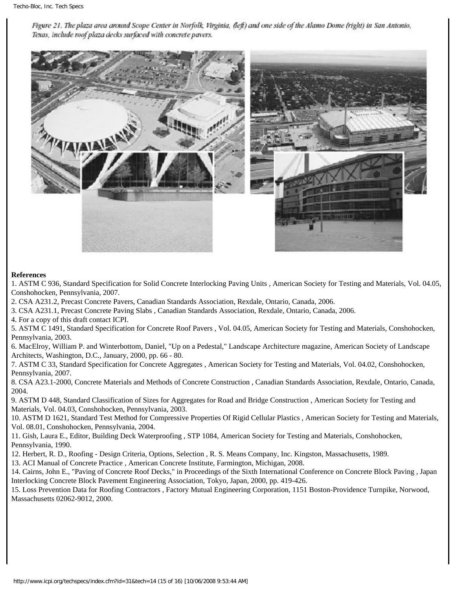Figure 21. The plaza area around Scope Center in Norfolk, Virginia, (left) and one side of the Alamo Dome (right) in San Antonio, Texas, include roof plaza decks surfaced with concrete pavers.



## **References**

1. ASTM C 936, Standard Specification for Solid Concrete Interlocking Paving Units , American Society for Testing and Materials, Vol. 04.05, Conshohocken, Pennsylvania, 2007.

2. CSA A231.2, Precast Concrete Pavers, Canadian Standards Association, Rexdale, Ontario, Canada, 2006.

3. CSA A231.1, Precast Concrete Paving Slabs , Canadian Standards Association, Rexdale, Ontario, Canada, 2006.

4. For a copy of this draft contact ICPI.

5. ASTM C 1491, Standard Specification for Concrete Roof Pavers , Vol. 04.05, American Society for Testing and Materials, Conshohocken, Pennsylvania, 2003.

6. MacElroy, William P. and Winterbottom, Daniel, "Up on a Pedestal," Landscape Architecture magazine, American Society of Landscape Architects, Washington, D.C., January, 2000, pp. 66 - 80.

7. ASTM C 33, Standard Specification for Concrete Aggregates , American Society for Testing and Materials, Vol. 04.02, Conshohocken, Pennsylvania, 2007.

8. CSA A23.1-2000, Concrete Materials and Methods of Concrete Construction , Canadian Standards Association, Rexdale, Ontario, Canada, 2004.

9. ASTM D 448, Standard Classification of Sizes for Aggregates for Road and Bridge Construction , American Society for Testing and Materials, Vol. 04.03, Conshohocken, Pennsylvania, 2003.

10. ASTM D 1621, Standard Test Method for Compressive Properties Of Rigid Cellular Plastics , American Society for Testing and Materials, Vol. 08.01, Conshohocken, Pennsylvania, 2004.

11. Gish, Laura E., Editor, Building Deck Waterproofing , STP 1084, American Society for Testing and Materials, Conshohocken, Pennsylvania, 1990.

12. Herbert, R. D., Roofing - Design Criteria, Options, Selection , R. S. Means Company, Inc. Kingston, Massachusetts, 1989.

13. ACI Manual of Concrete Practice , American Concrete Institute, Farmington, Michigan, 2008.

14. Cairns, John E., "Paving of Concrete Roof Decks," in Proceedings of the Sixth International Conference on Concrete Block Paving , Japan Interlocking Concrete Block Pavement Engineering Association, Tokyo, Japan, 2000, pp. 419-426.

15. Loss Prevention Data for Roofing Contractors , Factory Mutual Engineering Corporation, 1151 Boston-Providence Turnpike, Norwood, Massachusetts 02062-9012, 2000.